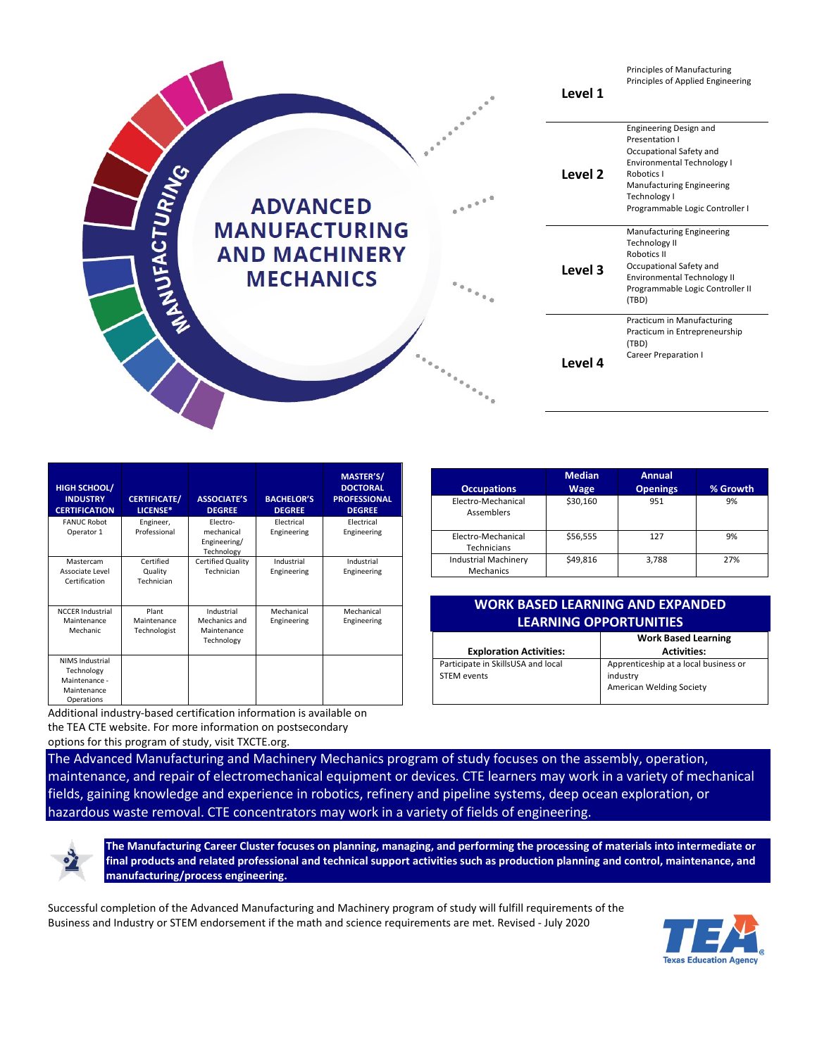

**Occupations**

| HIGH SCHOOL/<br><b>INDUSTRY</b><br><b>CERTIFICATION</b>                            | <b>CERTIFICATE/</b><br>LICENSE*      | <b>ASSOCIATE'S</b><br><b>DEGREE</b>                      | <b>BACHELOR'S</b><br><b>DEGREE</b> | MASTER'S/<br><b>DOCTORAL</b><br><b>PROFESSIONAL</b><br><b>DEGREE</b> |
|------------------------------------------------------------------------------------|--------------------------------------|----------------------------------------------------------|------------------------------------|----------------------------------------------------------------------|
| <b>FANUC Robot</b><br>Operator 1                                                   | Engineer,<br>Professional            | Electro-<br>mechanical<br>Engineering/<br>Technology     | Electrical<br>Engineering          | Electrical<br>Engineering                                            |
| Mastercam<br>Associate Level<br>Certification                                      | Certified<br>Quality<br>Technician   | Certified Quality<br>Technician                          | Industrial<br>Engineering          | Industrial<br>Engineering                                            |
| <b>NCCER Industrial</b><br>Maintenance<br>Mechanic                                 | Plant<br>Maintenance<br>Technologist | Industrial<br>Mechanics and<br>Maintenance<br>Technology | Mechanical<br>Engineering          | Mechanical<br>Engineering                                            |
| <b>NIMS Industrial</b><br>Technology<br>Maintenance -<br>Maintenance<br>Operations |                                      |                                                          |                                    |                                                                      |

Additional industry-based certification information is available on the TEA CTE website. For more information on postsecondary options for this program of study, visit TXCTE.org.

| _________                                | ----     | ----- |     |
|------------------------------------------|----------|-------|-----|
| Electro-Mechanical<br><b>Assemblers</b>  | \$30,160 | 951   | 9%  |
| Electro-Mechanical<br>Technicians        | \$56,555 | 127   | 9%  |
| <b>Industrial Machinery</b><br>Mechanics | \$49,816 | 3,788 | 27% |
|                                          |          |       |     |

**Annual** 

**Openings % Growth**

**Median Wage**

## **WORK BASED LEARNING AND EXPANDED LEARNING OPPORTUNITIES**

|                                                   | <b>Work Based Learning</b>                                                    |
|---------------------------------------------------|-------------------------------------------------------------------------------|
| <b>Exploration Activities:</b>                    | <b>Activities:</b>                                                            |
| Participate in SkillsUSA and local<br>STEM events | Apprenticeship at a local business or<br>industry<br>American Welding Society |

The Advanced Manufacturing and Machinery Mechanics program of study focuses on the assembly, operation, maintenance, and repair of electromechanical equipment or devices. CTE learners may work in a variety of mechanical fields, gaining knowledge and experience in robotics, refinery and pipeline systems, deep ocean exploration, or hazardous waste removal. CTE concentrators may work in a variety of fields of engineering.



**The Manufacturing Career Cluster focuses on planning, managing, and performing the processing of materials into intermediate or final products and related professional and technical support activities such as production planning and control, maintenance, and manufacturing/process engineering.**

Successful completion of the Advanced Manufacturing and Machinery program of study will fulfill requirements of the Business and Industry or STEM endorsement if the math and science requirements are met. Revised - July 2020